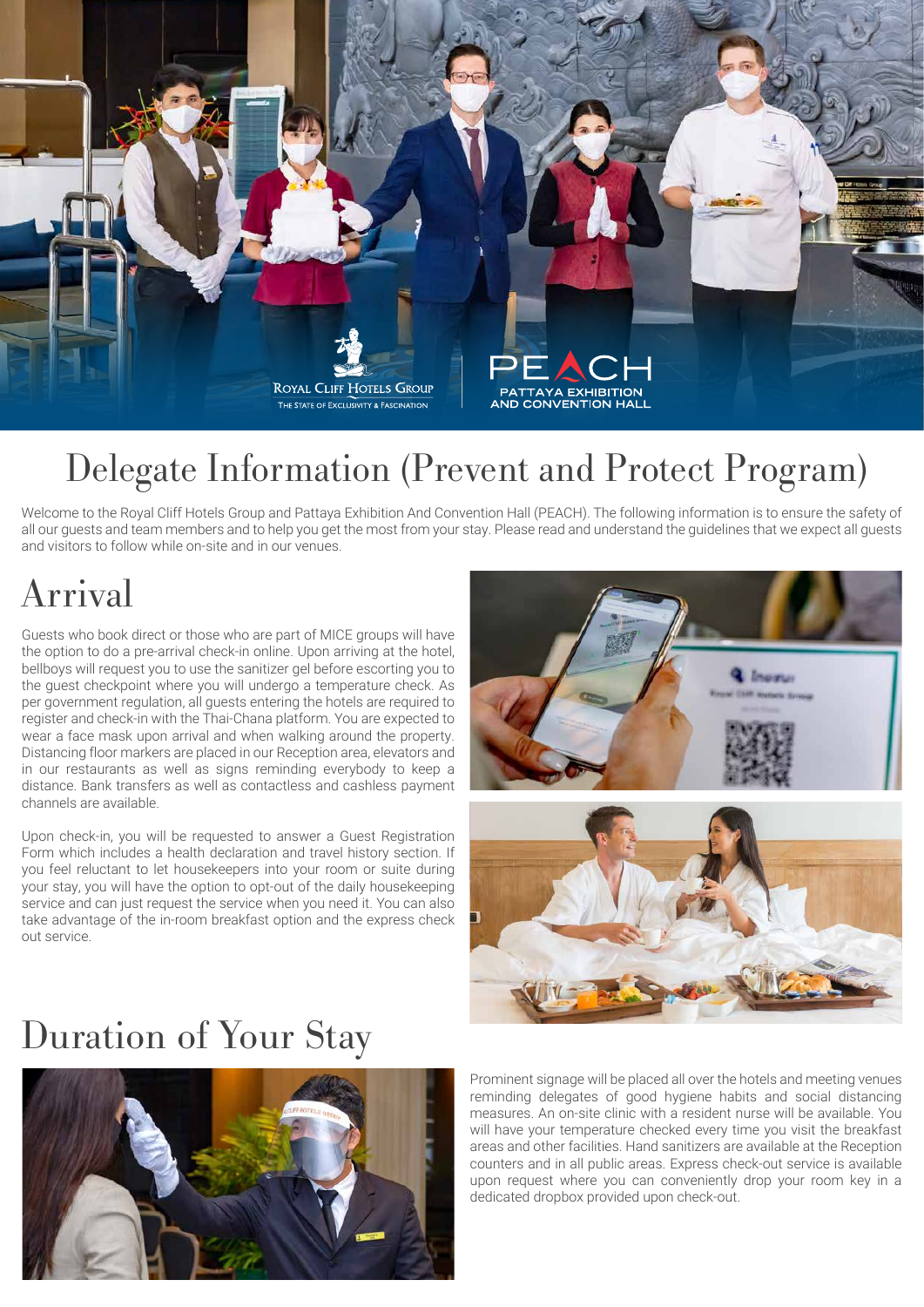

### Delegate Information (Prevent and Protect Program)

Welcome to the Royal Cliff Hotels Group and Pattaya Exhibition And Convention Hall (PEACH). The following information is to ensure the safety of all our guests and team members and to help you get the most from your stay. Please read and understand the guidelines that we expect all guests and visitors to follow while on-site and in our venues.

### Arrival

Guests who book direct or those who are part of MICE groups will have the option to do a pre-arrival check-in online. Upon arriving at the hotel, bellboys will request you to use the sanitizer gel before escorting you to the guest checkpoint where you will undergo a temperature check. As per government regulation, all guests entering the hotels are required to register and check-in with the Thai-Chana platform. You are expected to wear a face mask upon arrival and when walking around the property. Distancing floor markers are placed in our Reception area, elevators and in our restaurants as well as signs reminding everybody to keep a distance. Bank transfers as well as contactless and cashless payment channels are available.

Upon check-in, you will be requested to answer a Guest Registration Form which includes a health declaration and travel history section. If you feel reluctant to let housekeepers into your room or suite during your stay, you will have the option to opt-out of the daily housekeeping service and can just request the service when you need it. You can also take advantage of the in-room breakfast option and the express check out service.



#### Duration of Your Stay



Prominent signage will be placed all over the hotels and meeting venues reminding delegates of good hygiene habits and social distancing measures. An on-site clinic with a resident nurse will be available. You will have your temperature checked every time you visit the breakfast areas and other facilities. Hand sanitizers are available at the Reception counters and in all public areas. Express check-out service is available upon request where you can conveniently drop your room key in a dedicated dropbox provided upon check-out.